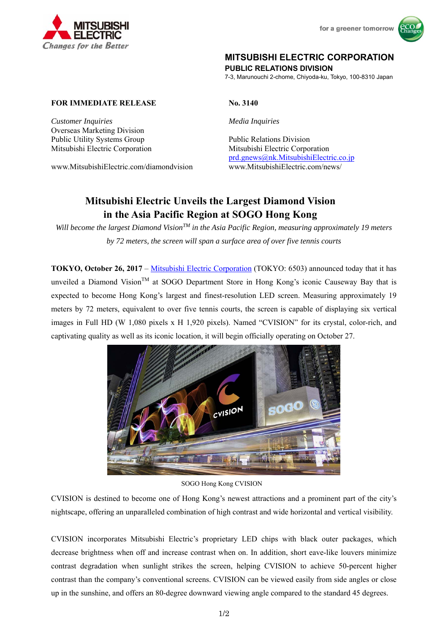



# **MITSUBISHI ELECTRIC CORPORATION**

**PUBLIC RELATIONS DIVISION** 

7-3, Marunouchi 2-chome, Chiyoda-ku, Tokyo, 100-8310 Japan

## **FOR IMMEDIATE RELEASE No. 3140**

*Customer Inquiries Media Inquiries*  Overseas Marketing Division Public Utility Systems Group Public Relations Division

Mitsubishi Electric Corporation Mitsubishi Electric Corporation prd.gnews@nk.MitsubishiElectric.co.jp www.MitsubishiElectric.com/diamondvision www.MitsubishiElectric.com/news/

# **Mitsubishi Electric Unveils the Largest Diamond Vision in the Asia Pacific Region at SOGO Hong Kong**

*Will become the largest Diamond VisionTM in the Asia Pacific Region, measuring approximately 19 meters by 72 meters, the screen will span a surface area of over five tennis courts* 

**TOKYO, October 26, 2017** – Mitsubishi Electric Corporation (TOKYO: 6503) announced today that it has unveiled a Diamond Vision<sup>TM</sup> at SOGO Department Store in Hong Kong's iconic Causeway Bay that is expected to become Hong Kong's largest and finest-resolution LED screen. Measuring approximately 19 meters by 72 meters, equivalent to over five tennis courts, the screen is capable of displaying six vertical images in Full HD (W 1,080 pixels x H 1,920 pixels). Named "CVISION" for its crystal, color-rich, and captivating quality as well as its iconic location, it will begin officially operating on October 27.



#### SOGO Hong Kong CVISION

CVISION is destined to become one of Hong Kong's newest attractions and a prominent part of the city's nightscape, offering an unparalleled combination of high contrast and wide horizontal and vertical visibility.

CVISION incorporates Mitsubishi Electric's proprietary LED chips with black outer packages, which decrease brightness when off and increase contrast when on. In addition, short eave-like louvers minimize contrast degradation when sunlight strikes the screen, helping CVISION to achieve 50-percent higher contrast than the company's conventional screens. CVISION can be viewed easily from side angles or close up in the sunshine, and offers an 80-degree downward viewing angle compared to the standard 45 degrees.